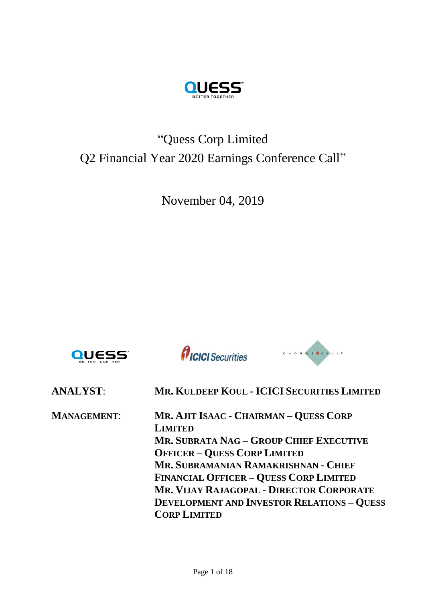

# "Quess Corp Limited Q2 Financial Year 2020 Earnings Conference Call"

November 04, 2019





CHORUS CALLE

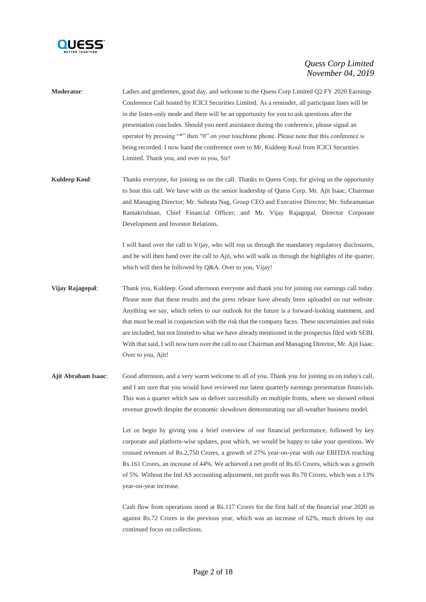

| <b>Moderator:</b> | Ladies and gentlemen, good day, and welcome to the Quess Corp Limited Q2 FY 2020 Earnings        |
|-------------------|--------------------------------------------------------------------------------------------------|
|                   | Conference Call hosted by ICICI Securities Limited. As a reminder, all participant lines will be |
|                   | in the listen-only mode and there will be an opportunity for you to ask questions after the      |
|                   | presentation concludes. Should you need assistance during the conference, please signal an       |
|                   | operator by pressing "*" then "0" on your touchtone phone. Please note that this conference is   |
|                   | being recorded. I now hand the conference over to Mr. Kuldeep Koul from ICICI Securities         |
|                   | Limited. Thank you, and over to you, Sir!                                                        |

**Kuldeep Koul:** Thanks everyone, for joining us on the call. Thanks to Quess Corp, for giving us the opportunity to host this call. We have with us the senior leadership of Quess Corp. Mr. Ajit Isaac, Chairman and Managing Director; Mr. Subrata Nag, Group CEO and Executive Director; Mr. Subramanian Ramakrishnan, Chief Financial Officer; and Mr. Vijay Rajagopal, Director Corporate Development and Investor Relations.

> I will hand over the call to Vijay, who will run us through the mandatory regulatory disclosures, and he will then hand over the call to Ajit, who will walk us through the highlights of the quarter, which will then be followed by Q&A. Over to you, Vijay!

- **Vijay Rajagopal**: Thank you, Kuldeep. Good afternoon everyone and thank you for joining our earnings call today. Please note that these results and the press release have already been uploaded on our website. Anything we say, which refers to our outlook for the future is a forward-looking statement, and that must be read in conjunction with the risk that the company faces. These uncertainties and risks are included, but not limited to what we have already mentioned in the prospectus filed with SEBI. With that said, I will now turn over the call to our Chairman and Managing Director, Mr. Ajit Isaac. Over to you, Ajit!
- **Ajit Abraham Isaac**: Good afternoon, and a very warm welcome to all of you. Thank you for joining us on today's call, and I am sure that you would have reviewed our latest quarterly earnings presentation financials. This was a quarter which saw us deliver successfully on multiple fronts, where we showed robust revenue growth despite the economic slowdown demonstrating our all-weather business model.

Let us begin by giving you a brief overview of our financial performance, followed by key corporate and platform-wise updates, post which, we would be happy to take your questions. We crossed revenues of Rs.2,750 Crores, a growth of 27% year-on-year with our EBITDA reaching Rs.161 Crores, an increase of 44%. We achieved a net profit of Rs.65 Crores, which was a growth of 5%. Without the Ind AS accounting adjustment, net profit was Rs.70 Crores, which was a 13% year-on-year increase.

Cash flow from operations stood at Rs.117 Crores for the first half of the financial year 2020 as against Rs.72 Crores in the previous year, which was an increase of 62%, much driven by our continued focus on collections.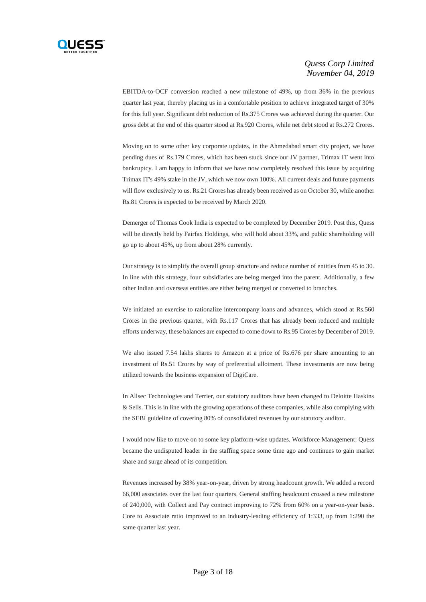

EBITDA-to-OCF conversion reached a new milestone of 49%, up from 36% in the previous quarter last year, thereby placing us in a comfortable position to achieve integrated target of 30% for this full year. Significant debt reduction of Rs.375 Crores was achieved during the quarter. Our gross debt at the end of this quarter stood at Rs.920 Crores, while net debt stood at Rs.272 Crores.

Moving on to some other key corporate updates, in the Ahmedabad smart city project, we have pending dues of Rs.179 Crores, which has been stuck since our JV partner, Trimax IT went into bankruptcy. I am happy to inform that we have now completely resolved this issue by acquiring Trimax IT's 49% stake in the JV, which we now own 100%. All current deals and future payments will flow exclusively to us. Rs.21 Crores has already been received as on October 30, while another Rs.81 Crores is expected to be received by March 2020.

Demerger of Thomas Cook India is expected to be completed by December 2019. Post this, Quess will be directly held by Fairfax Holdings, who will hold about 33%, and public shareholding will go up to about 45%, up from about 28% currently.

Our strategy is to simplify the overall group structure and reduce number of entities from 45 to 30. In line with this strategy, four subsidiaries are being merged into the parent. Additionally, a few other Indian and overseas entities are either being merged or converted to branches.

We initiated an exercise to rationalize intercompany loans and advances, which stood at Rs.560 Crores in the previous quarter, with Rs.117 Crores that has already been reduced and multiple efforts underway, these balances are expected to come down to Rs.95 Crores by December of 2019.

We also issued 7.54 lakhs shares to Amazon at a price of Rs.676 per share amounting to an investment of Rs.51 Crores by way of preferential allotment. These investments are now being utilized towards the business expansion of DigiCare.

In Allsec Technologies and Terrier, our statutory auditors have been changed to Deloitte Haskins & Sells. This is in line with the growing operations of these companies, while also complying with the SEBI guideline of covering 80% of consolidated revenues by our statutory auditor.

I would now like to move on to some key platform-wise updates. Workforce Management: Quess became the undisputed leader in the staffing space some time ago and continues to gain market share and surge ahead of its competition.

Revenues increased by 38% year-on-year, driven by strong headcount growth. We added a record 66,000 associates over the last four quarters. General staffing headcount crossed a new milestone of 240,000, with Collect and Pay contract improving to 72% from 60% on a year-on-year basis. Core to Associate ratio improved to an industry-leading efficiency of 1:333, up from 1:290 the same quarter last year.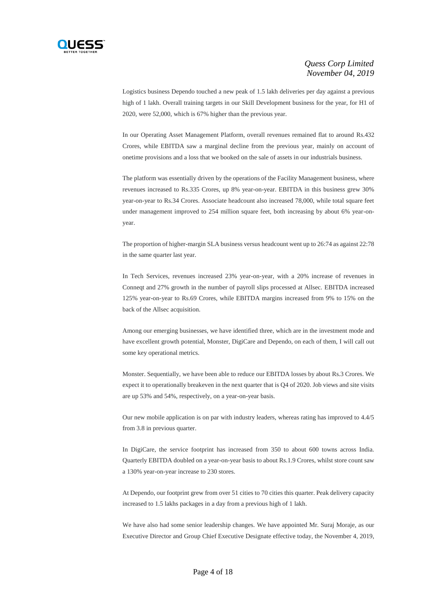

Logistics business Dependo touched a new peak of 1.5 lakh deliveries per day against a previous high of 1 lakh. Overall training targets in our Skill Development business for the year, for H1 of 2020, were 52,000, which is 67% higher than the previous year.

In our Operating Asset Management Platform, overall revenues remained flat to around Rs.432 Crores, while EBITDA saw a marginal decline from the previous year, mainly on account of onetime provisions and a loss that we booked on the sale of assets in our industrials business.

The platform was essentially driven by the operations of the Facility Management business, where revenues increased to Rs.335 Crores, up 8% year-on-year. EBITDA in this business grew 30% year-on-year to Rs.34 Crores. Associate headcount also increased 78,000, while total square feet under management improved to 254 million square feet, both increasing by about 6% year-onyear.

The proportion of higher-margin SLA business versus headcount went up to 26:74 as against 22:78 in the same quarter last year.

In Tech Services, revenues increased 23% year-on-year, with a 20% increase of revenues in Conneqt and 27% growth in the number of payroll slips processed at Allsec. EBITDA increased 125% year-on-year to Rs.69 Crores, while EBITDA margins increased from 9% to 15% on the back of the Allsec acquisition.

Among our emerging businesses, we have identified three, which are in the investment mode and have excellent growth potential, Monster, DigiCare and Dependo, on each of them, I will call out some key operational metrics.

Monster. Sequentially, we have been able to reduce our EBITDA losses by about Rs.3 Crores. We expect it to operationally breakeven in the next quarter that is Q4 of 2020. Job views and site visits are up 53% and 54%, respectively, on a year-on-year basis.

Our new mobile application is on par with industry leaders, whereas rating has improved to 4.4/5 from 3.8 in previous quarter.

In DigiCare, the service footprint has increased from 350 to about 600 towns across India. Quarterly EBITDA doubled on a year-on-year basis to about Rs.1.9 Crores, whilst store count saw a 130% year-on-year increase to 230 stores.

At Dependo, our footprint grew from over 51 cities to 70 cities this quarter. Peak delivery capacity increased to 1.5 lakhs packages in a day from a previous high of 1 lakh.

We have also had some senior leadership changes. We have appointed Mr. Suraj Moraje, as our Executive Director and Group Chief Executive Designate effective today, the November 4, 2019,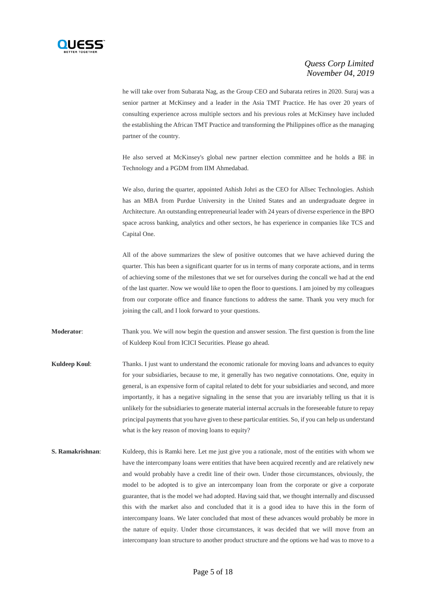

he will take over from Subarata Nag, as the Group CEO and Subarata retires in 2020. Suraj was a senior partner at McKinsey and a leader in the Asia TMT Practice. He has over 20 years of consulting experience across multiple sectors and his previous roles at McKinsey have included the establishing the African TMT Practice and transforming the Philippines office as the managing partner of the country.

He also served at McKinsey's global new partner election committee and he holds a BE in Technology and a PGDM from IIM Ahmedabad.

We also, during the quarter, appointed Ashish Johri as the CEO for Allsec Technologies. Ashish has an MBA from Purdue University in the United States and an undergraduate degree in Architecture. An outstanding entrepreneurial leader with 24 years of diverse experience in the BPO space across banking, analytics and other sectors, he has experience in companies like TCS and Capital One.

All of the above summarizes the slew of positive outcomes that we have achieved during the quarter. This has been a significant quarter for us in terms of many corporate actions, and in terms of achieving some of the milestones that we set for ourselves during the concall we had at the end of the last quarter. Now we would like to open the floor to questions. I am joined by my colleagues from our corporate office and finance functions to address the same. Thank you very much for joining the call, and I look forward to your questions.

**Moderator**: Thank you. We will now begin the question and answer session. The first question is from the line of Kuldeep Koul from ICICI Securities. Please go ahead.

**Kuldeep Koul:** Thanks. I just want to understand the economic rationale for moving loans and advances to equity for your subsidiaries, because to me, it generally has two negative connotations. One, equity in general, is an expensive form of capital related to debt for your subsidiaries and second, and more importantly, it has a negative signaling in the sense that you are invariably telling us that it is unlikely for the subsidiaries to generate material internal accruals in the foreseeable future to repay principal payments that you have given to these particular entities. So, if you can help us understand what is the key reason of moving loans to equity?

**S. Ramakrishnan:** Kuldeep, this is Ramki here. Let me just give you a rationale, most of the entities with whom we have the intercompany loans were entities that have been acquired recently and are relatively new and would probably have a credit line of their own. Under those circumstances, obviously, the model to be adopted is to give an intercompany loan from the corporate or give a corporate guarantee, that is the model we had adopted. Having said that, we thought internally and discussed this with the market also and concluded that it is a good idea to have this in the form of intercompany loans. We later concluded that most of these advances would probably be more in the nature of equity. Under those circumstances, it was decided that we will move from an intercompany loan structure to another product structure and the options we had was to move to a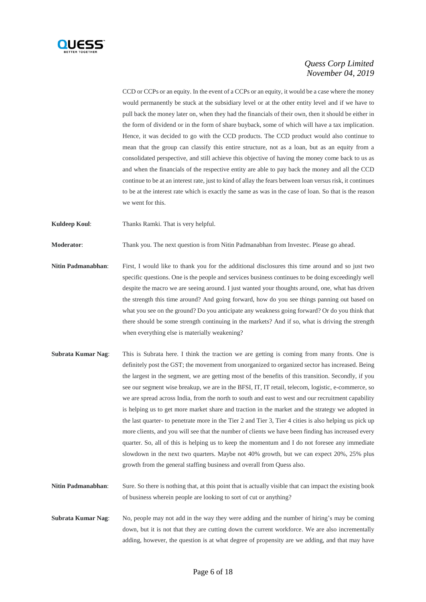

CCD or CCPs or an equity. In the event of a CCPs or an equity, it would be a case where the money would permanently be stuck at the subsidiary level or at the other entity level and if we have to pull back the money later on, when they had the financials of their own, then it should be either in the form of dividend or in the form of share buyback, some of which will have a tax implication. Hence, it was decided to go with the CCD products. The CCD product would also continue to mean that the group can classify this entire structure, not as a loan, but as an equity from a consolidated perspective, and still achieve this objective of having the money come back to us as and when the financials of the respective entity are able to pay back the money and all the CCD continue to be at an interest rate, just to kind of allay the fears between loan versus risk, it continues to be at the interest rate which is exactly the same as was in the case of loan. So that is the reason we went for this.

**Kuldeep Koul**: Thanks Ramki. That is very helpful.

**Moderator**: Thank you. The next question is from Nitin Padmanabhan from Investec. Please go ahead.

- **Nitin Padmanabhan**: First, I would like to thank you for the additional disclosures this time around and so just two specific questions. One is the people and services business continues to be doing exceedingly well despite the macro we are seeing around. I just wanted your thoughts around, one, what has driven the strength this time around? And going forward, how do you see things panning out based on what you see on the ground? Do you anticipate any weakness going forward? Or do you think that there should be some strength continuing in the markets? And if so, what is driving the strength when everything else is materially weakening?
- **Subrata Kumar Nag**: This is Subrata here. I think the traction we are getting is coming from many fronts. One is definitely post the GST; the movement from unorganized to organized sector has increased. Being the largest in the segment, we are getting most of the benefits of this transition. Secondly, if you see our segment wise breakup, we are in the BFSI, IT, IT retail, telecom, logistic, e-commerce, so we are spread across India, from the north to south and east to west and our recruitment capability is helping us to get more market share and traction in the market and the strategy we adopted in the last quarter- to penetrate more in the Tier 2 and Tier 3, Tier 4 cities is also helping us pick up more clients, and you will see that the number of clients we have been finding has increased every quarter. So, all of this is helping us to keep the momentum and I do not foresee any immediate slowdown in the next two quarters. Maybe not 40% growth, but we can expect 20%, 25% plus growth from the general staffing business and overall from Quess also.

**Nitin Padmanabhan**: Sure. So there is nothing that, at this point that is actually visible that can impact the existing book of business wherein people are looking to sort of cut or anything?

**Subrata Kumar Nag**: No, people may not add in the way they were adding and the number of hiring's may be coming down, but it is not that they are cutting down the current workforce. We are also incrementally adding, however, the question is at what degree of propensity are we adding, and that may have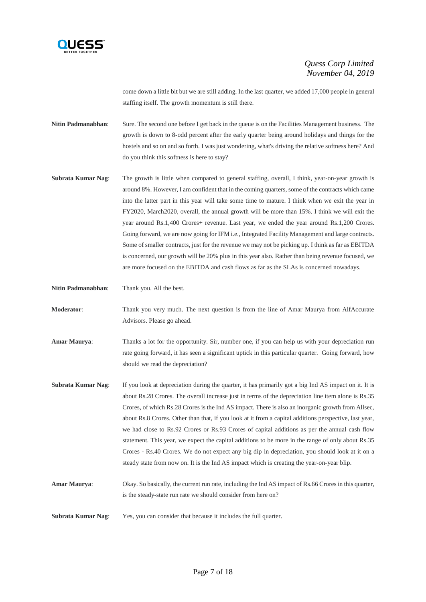

come down a little bit but we are still adding. In the last quarter, we added 17,000 people in general staffing itself. The growth momentum is still there.

- **Nitin Padmanabhan:** Sure. The second one before I get back in the queue is on the Facilities Management business. The growth is down to 8-odd percent after the early quarter being around holidays and things for the hostels and so on and so forth. I was just wondering, what's driving the relative softness here? And do you think this softness is here to stay?
- **Subrata Kumar Nag**: The growth is little when compared to general staffing, overall, I think, year-on-year growth is around 8%. However, I am confident that in the coming quarters, some of the contracts which came into the latter part in this year will take some time to mature. I think when we exit the year in FY2020, March2020, overall, the annual growth will be more than 15%. I think we will exit the year around Rs.1,400 Crores+ revenue. Last year, we ended the year around Rs.1,200 Crores. Going forward, we are now going for IFM i.e., Integrated Facility Management and large contracts. Some of smaller contracts, just for the revenue we may not be picking up. I think as far as EBITDA is concerned, our growth will be 20% plus in this year also. Rather than being revenue focused, we are more focused on the EBITDA and cash flows as far as the SLAs is concerned nowadays.

**Nitin Padmanabhan**: Thank you. All the best.

**Moderator:** Thank you very much. The next question is from the line of Amar Maurya from AlfAccurate Advisors. Please go ahead.

- **Amar Maurya**: Thanks a lot for the opportunity. Sir, number one, if you can help us with your depreciation run rate going forward, it has seen a significant uptick in this particular quarter. Going forward, how should we read the depreciation?
- **Subrata Kumar Nag:** If you look at depreciation during the quarter, it has primarily got a big Ind AS impact on it. It is about Rs.28 Crores. The overall increase just in terms of the depreciation line item alone is Rs.35 Crores, of which Rs.28 Crores is the Ind AS impact. There is also an inorganic growth from Allsec, about Rs.8 Crores. Other than that, if you look at it from a capital additions perspective, last year, we had close to Rs.92 Crores or Rs.93 Crores of capital additions as per the annual cash flow statement. This year, we expect the capital additions to be more in the range of only about Rs.35 Crores - Rs.40 Crores. We do not expect any big dip in depreciation, you should look at it on a steady state from now on. It is the Ind AS impact which is creating the year-on-year blip.
- **Amar Maurya**: Okay. So basically, the current run rate, including the Ind AS impact of Rs.66 Crores in this quarter, is the steady-state run rate we should consider from here on?
- **Subrata Kumar Nag**: Yes, you can consider that because it includes the full quarter.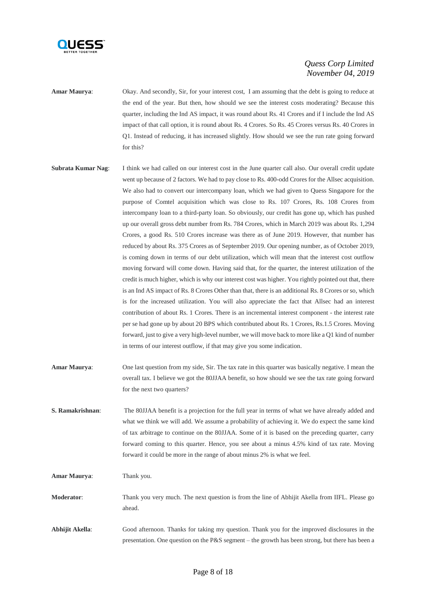

**Amar Maurya**: Okay. And secondly, Sir, for your interest cost, I am assuming that the debt is going to reduce at the end of the year. But then, how should we see the interest costs moderating? Because this quarter, including the Ind AS impact, it was round about Rs. 41 Crores and if I include the Ind AS impact of that call option, it is round about Rs. 4 Crores. So Rs. 45 Crores versus Rs. 40 Crores in Q1. Instead of reducing, it has increased slightly. How should we see the run rate going forward for this?

- **Subrata Kumar Nag:** I think we had called on our interest cost in the June quarter call also. Our overall credit update went up because of 2 factors. We had to pay close to Rs. 400-odd Crores for the Allsec acquisition. We also had to convert our intercompany loan, which we had given to Quess Singapore for the purpose of Comtel acquisition which was close to Rs. 107 Crores, Rs. 108 Crores from intercompany loan to a third-party loan. So obviously, our credit has gone up, which has pushed up our overall gross debt number from Rs. 784 Crores, which in March 2019 was about Rs. 1,294 Crores, a good Rs. 510 Crores increase was there as of June 2019. However, that number has reduced by about Rs. 375 Crores as of September 2019. Our opening number, as of October 2019, is coming down in terms of our debt utilization, which will mean that the interest cost outflow moving forward will come down. Having said that, for the quarter, the interest utilization of the credit is much higher, which is why our interest cost was higher. You rightly pointed out that, there is an Ind AS impact of Rs. 8 Crores Other than that, there is an additional Rs. 8 Crores or so, which is for the increased utilization. You will also appreciate the fact that Allsec had an interest contribution of about Rs. 1 Crores. There is an incremental interest component - the interest rate per se had gone up by about 20 BPS which contributed about Rs. 1 Crores, Rs.1.5 Crores. Moving forward, just to give a very high-level number, we will move back to more like a Q1 kind of number in terms of our interest outflow, if that may give you some indication.
- **Amar Maurya**: One last question from my side, Sir. The tax rate in this quarter was basically negative. I mean the overall tax. I believe we got the 80JJAA benefit, so how should we see the tax rate going forward for the next two quarters?
- **S. Ramakrishnan**: The 80JJAA benefit is a projection for the full year in terms of what we have already added and what we think we will add. We assume a probability of achieving it. We do expect the same kind of tax arbitrage to continue on the 80JJAA. Some of it is based on the preceding quarter, carry forward coming to this quarter. Hence, you see about a minus 4.5% kind of tax rate. Moving forward it could be more in the range of about minus 2% is what we feel.

**Amar Maurya**: Thank you.

- **Moderator:** Thank you very much. The next question is from the line of Abhijit Akella from IIFL. Please go ahead.
- **Abhijit Akella**: Good afternoon. Thanks for taking my question. Thank you for the improved disclosures in the presentation. One question on the P&S segment – the growth has been strong, but there has been a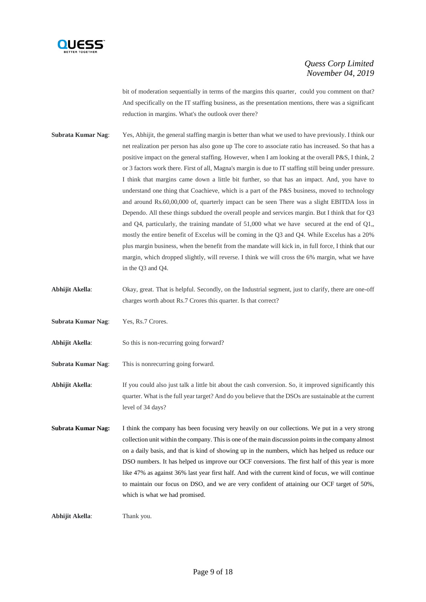

bit of moderation sequentially in terms of the margins this quarter, could you comment on that? And specifically on the IT staffing business, as the presentation mentions, there was a significant reduction in margins. What's the outlook over there?

- **Subrata Kumar Nag:** Yes, Abhijit, the general staffing margin is better than what we used to have previously. I think our net realization per person has also gone up The core to associate ratio has increased. So that has a positive impact on the general staffing. However, when I am looking at the overall P&S, I think, 2 or 3 factors work there. First of all, Magna's margin is due to IT staffing still being under pressure. I think that margins came down a little bit further, so that has an impact. And, you have to understand one thing that Coachieve, which is a part of the P&S business, moved to technology and around Rs.60,00,000 of, quarterly impact can be seen There was a slight EBITDA loss in Dependo. All these things subdued the overall people and services margin. But I think that for Q3 and Q4, particularly, the training mandate of  $51,000$  what we have secured at the end of Q1, mostly the entire benefit of Excelus will be coming in the Q3 and Q4. While Excelus has a 20% plus margin business, when the benefit from the mandate will kick in, in full force, I think that our margin, which dropped slightly, will reverse. I think we will cross the 6% margin, what we have in the Q3 and Q4.
- Abhijit Akella: Okay, great. That is helpful. Secondly, on the Industrial segment, just to clarify, there are one-off charges worth about Rs.7 Crores this quarter. Is that correct?

**Subrata Kumar Nag**: Yes, Rs.7 Crores.

- Abhijit Akella: So this is non-recurring going forward?
- **Subrata Kumar Nag**: This is nonrecurring going forward.

**Abhijit Akella**: If you could also just talk a little bit about the cash conversion. So, it improved significantly this quarter. What is the full year target? And do you believe that the DSOs are sustainable at the current level of 34 days?

**Subrata Kumar Nag:** I think the company has been focusing very heavily on our collections. We put in a very strong collection unit within the company. This is one of the main discussion points in the company almost on a daily basis, and that is kind of showing up in the numbers, which has helped us reduce our DSO numbers. It has helped us improve our OCF conversions. The first half of this year is more like 47% as against 36% last year first half. And with the current kind of focus, we will continue to maintain our focus on DSO, and we are very confident of attaining our OCF target of 50%, which is what we had promised.

**Abhijit Akella**: Thank you.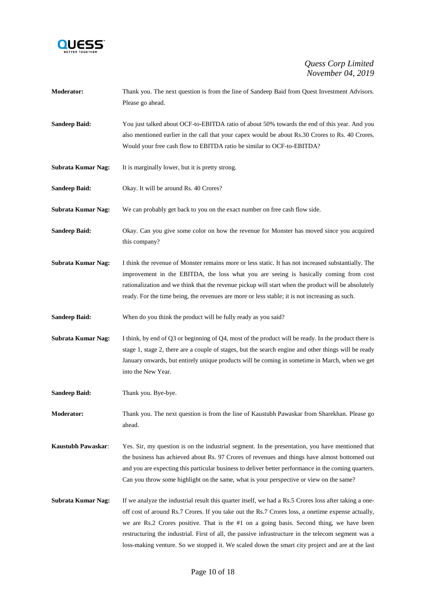

| <b>Moderator:</b>         | Thank you. The next question is from the line of Sandeep Baid from Quest Investment Advisors.<br>Please go ahead.                                                                                                                                                                                                                                                                                                                                                                                                  |
|---------------------------|--------------------------------------------------------------------------------------------------------------------------------------------------------------------------------------------------------------------------------------------------------------------------------------------------------------------------------------------------------------------------------------------------------------------------------------------------------------------------------------------------------------------|
| <b>Sandeep Baid:</b>      | You just talked about OCF-to-EBITDA ratio of about 50% towards the end of this year. And you<br>also mentioned earlier in the call that your capex would be about Rs.30 Crores to Rs. 40 Crores.<br>Would your free cash flow to EBITDA ratio be similar to OCF-to-EBITDA?                                                                                                                                                                                                                                         |
| Subrata Kumar Nag:        | It is marginally lower, but it is pretty strong.                                                                                                                                                                                                                                                                                                                                                                                                                                                                   |
| <b>Sandeep Baid:</b>      | Okay. It will be around Rs. 40 Crores?                                                                                                                                                                                                                                                                                                                                                                                                                                                                             |
| Subrata Kumar Nag:        | We can probably get back to you on the exact number on free cash flow side.                                                                                                                                                                                                                                                                                                                                                                                                                                        |
| <b>Sandeep Baid:</b>      | Okay. Can you give some color on how the revenue for Monster has moved since you acquired<br>this company?                                                                                                                                                                                                                                                                                                                                                                                                         |
| <b>Subrata Kumar Nag:</b> | I think the revenue of Monster remains more or less static. It has not increased substantially. The<br>improvement in the EBITDA, the loss what you are seeing is basically coming from cost<br>rationalization and we think that the revenue pickup will start when the product will be absolutely<br>ready. For the time being, the revenues are more or less stable; it is not increasing as such.                                                                                                              |
| <b>Sandeep Baid:</b>      | When do you think the product will be fully ready as you said?                                                                                                                                                                                                                                                                                                                                                                                                                                                     |
| Subrata Kumar Nag:        | I think, by end of Q3 or beginning of Q4, most of the product will be ready. In the product there is<br>stage 1, stage 2, there are a couple of stages, but the search engine and other things will be ready<br>January onwards, but entirely unique products will be coming in sometime in March, when we get<br>into the New Year.                                                                                                                                                                               |
| <b>Sandeep Baid:</b>      | Thank you. Bye-bye.                                                                                                                                                                                                                                                                                                                                                                                                                                                                                                |
| Moderator:                | Thank you. The next question is from the line of Kaustubh Pawaskar from Sharekhan. Please go<br>ahead.                                                                                                                                                                                                                                                                                                                                                                                                             |
| Kaustubh Pawaskar:        | Yes. Sir, my question is on the industrial segment. In the presentation, you have mentioned that<br>the business has achieved about Rs. 97 Crores of revenues and things have almost bottomed out<br>and you are expecting this particular business to deliver better performance in the coming quarters.<br>Can you throw some highlight on the same, what is your perspective or view on the same?                                                                                                               |
| <b>Subrata Kumar Nag:</b> | If we analyze the industrial result this quarter itself, we had a Rs.5 Crores loss after taking a one-<br>off cost of around Rs.7 Crores. If you take out the Rs.7 Crores loss, a onetime expense actually,<br>we are Rs.2 Crores positive. That is the #1 on a going basis. Second thing, we have been<br>restructuring the industrial. First of all, the passive infrastructure in the telecom segment was a<br>loss-making venture. So we stopped it. We scaled down the smart city project and are at the last |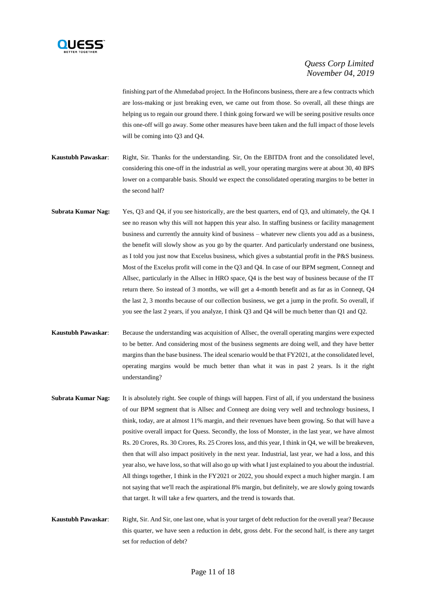

finishing part of the Ahmedabad project. In the Hofincons business, there are a few contracts which are loss-making or just breaking even, we came out from those. So overall, all these things are helping us to regain our ground there. I think going forward we will be seeing positive results once this one-off will go away. Some other measures have been taken and the full impact of those levels will be coming into Q3 and Q4.

- **Kaustubh Pawaskar**: Right, Sir. Thanks for the understanding. Sir, On the EBITDA front and the consolidated level, considering this one-off in the industrial as well, your operating margins were at about 30, 40 BPS lower on a comparable basis. Should we expect the consolidated operating margins to be better in the second half?
- **Subrata Kumar Nag:** Yes, Q3 and Q4, if you see historically, are the best quarters, end of Q3, and ultimately, the Q4. I see no reason why this will not happen this year also. In staffing business or facility management business and currently the annuity kind of business – whatever new clients you add as a business, the benefit will slowly show as you go by the quarter. And particularly understand one business, as I told you just now that Excelus business, which gives a substantial profit in the P&S business. Most of the Excelus profit will come in the Q3 and Q4. In case of our BPM segment, Conneqt and Allsec, particularly in the Allsec in HRO space, Q4 is the best way of business because of the IT return there. So instead of 3 months, we will get a 4-month benefit and as far as in Conneqt, Q4 the last 2, 3 months because of our collection business, we get a jump in the profit. So overall, if you see the last 2 years, if you analyze, I think Q3 and Q4 will be much better than Q1 and Q2.
- **Kaustubh Pawaskar**: Because the understanding was acquisition of Allsec, the overall operating margins were expected to be better. And considering most of the business segments are doing well, and they have better margins than the base business. The ideal scenario would be that FY2021, at the consolidated level, operating margins would be much better than what it was in past 2 years. Is it the right understanding?
- **Subrata Kumar Nag:** It is absolutely right. See couple of things will happen. First of all, if you understand the business of our BPM segment that is Allsec and Conneqt are doing very well and technology business, I think, today, are at almost 11% margin, and their revenues have been growing. So that will have a positive overall impact for Quess. Secondly, the loss of Monster, in the last year, we have almost Rs. 20 Crores, Rs. 30 Crores, Rs. 25 Crores loss, and this year, I think in Q4, we will be breakeven, then that will also impact positively in the next year. Industrial, last year, we had a loss, and this year also, we have loss, so that will also go up with what I just explained to you about the industrial. All things together, I think in the FY2021 or 2022, you should expect a much higher margin. I am not saying that we'll reach the aspirational 8% margin, but definitely, we are slowly going towards that target. It will take a few quarters, and the trend is towards that.
- **Kaustubh Pawaskar**: Right, Sir. And Sir, one last one, what is your target of debt reduction for the overall year? Because this quarter, we have seen a reduction in debt, gross debt. For the second half, is there any target set for reduction of debt?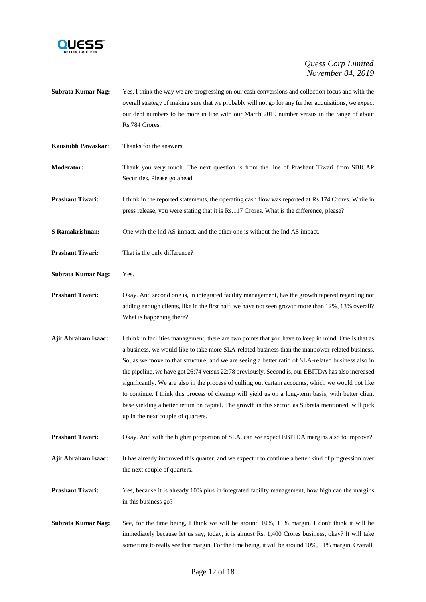

- **Subrata Kumar Nag:** Yes, I think the way we are progressing on our cash conversions and collection focus and with the overall strategy of making sure that we probably will not go for any further acquisitions, we expect our debt numbers to be more in line with our March 2019 number versus in the range of about Rs.784 Crores.
- **Kaustubh Pawaskar**: Thanks for the answers.
- **Moderator:** Thank you very much. The next question is from the line of Prashant Tiwari from SBICAP Securities. Please go ahead.
- **Prashant Tiwari:** I think in the reported statements, the operating cash flow was reported at Rs.174 Crores. While in press release, you were stating that it is Rs.117 Crores. What is the difference, please?
- **S Ramakrishnan:** One with the Ind AS impact, and the other one is without the Ind AS impact.
- **Prashant Tiwari:** That is the only difference?
- **Subrata Kumar Nag:** Yes.
- **Prashant Tiwari:** Okay. And second one is, in integrated facility management, has the growth tapered regarding not adding enough clients, like in the first half, we have not seen growth more than 12%, 13% overall? What is happening there?
- **Ajit Abraham Isaac:** I think in facilities management, there are two points that you have to keep in mind. One is that as a business, we would like to take more SLA-related business than the manpower-related business. So, as we move to that structure, and we are seeing a better ratio of SLA-related business also in the pipeline, we have got 26:74 versus 22:78 previously. Second is, our EBITDA has also increased significantly. We are also in the process of culling out certain accounts, which we would not like to continue. I think this process of cleanup will yield us on a long-term basis, with better client base yielding a better return on capital. The growth in this sector, as Subrata mentioned, will pick up in the next couple of quarters.
- **Prashant Tiwari:** Okay. And with the higher proportion of SLA, can we expect EBITDA margins also to improve?
- **Ajit Abraham Isaac:** It has already improved this quarter, and we expect it to continue a better kind of progression over the next couple of quarters.
- **Prashant Tiwari:** Yes, because it is already 10% plus in integrated facility management, how high can the margins in this business go?
- **Subrata Kumar Nag:** See, for the time being, I think we will be around 10%, 11% margin. I don't think it will be immediately because let us say, today, it is almost Rs. 1,400 Crores business, okay? It will take some time to really see that margin. For the time being, it will be around 10%, 11% margin. Overall,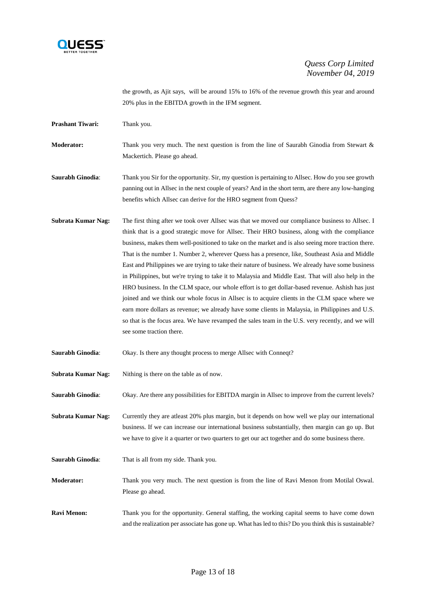

the growth, as Ajit says, will be around 15% to 16% of the revenue growth this year and around 20% plus in the EBITDA growth in the IFM segment.

**Prashant Tiwari:** Thank you.

**Moderator:** Thank you very much. The next question is from the line of Saurabh Ginodia from Stewart & Mackertich. Please go ahead.

**Saurabh Ginodia**: Thank you Sir for the opportunity. Sir, my question is pertaining to Allsec. How do you see growth panning out in Allsec in the next couple of years? And in the short term, are there any low-hanging benefits which Allsec can derive for the HRO segment from Quess?

**Subrata Kumar Nag:** The first thing after we took over Allsec was that we moved our compliance business to Allsec. I think that is a good strategic move for Allsec. Their HRO business, along with the compliance business, makes them well-positioned to take on the market and is also seeing more traction there. That is the number 1. Number 2, wherever Quess has a presence, like, Southeast Asia and Middle East and Philippines we are trying to take their nature of business. We already have some business in Philippines, but we're trying to take it to Malaysia and Middle East. That will also help in the HRO business. In the CLM space, our whole effort is to get dollar-based revenue. Ashish has just joined and we think our whole focus in Allsec is to acquire clients in the CLM space where we earn more dollars as revenue; we already have some clients in Malaysia, in Philippines and U.S. so that is the focus area. We have revamped the sales team in the U.S. very recently, and we will see some traction there.

**Saurabh Ginodia**: Okay. Is there any thought process to merge Allsec with Conneqt?

**Subrata Kumar Nag:** Nithing is there on the table as of now.

**Saurabh Ginodia:** Okay. Are there any possibilities for EBITDA margin in Allsec to improve from the current levels?

**Subrata Kumar Nag:** Currently they are atleast 20% plus margin, but it depends on how well we play our international business. If we can increase our international business substantially, then margin can go up. But we have to give it a quarter or two quarters to get our act together and do some business there.

**Saurabh Ginodia**: That is all from my side. Thank you.

**Moderator:** Thank you very much. The next question is from the line of Ravi Menon from Motilal Oswal. Please go ahead.

**Ravi Menon:** Thank you for the opportunity. General staffing, the working capital seems to have come down and the realization per associate has gone up. What has led to this? Do you think this is sustainable?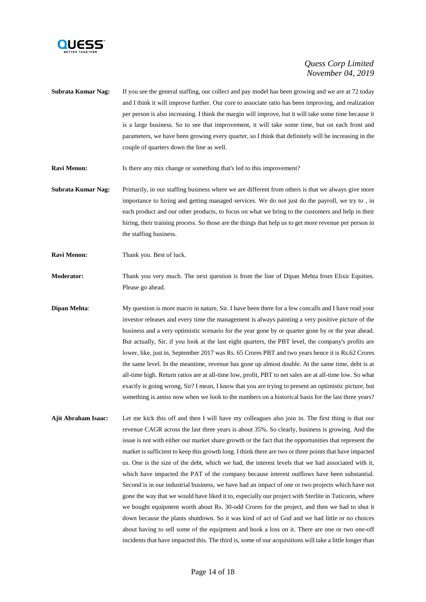

- **Subrata Kumar Nag:** If you see the general staffing, our collect and pay model has been growing and we are at 72 today and I think it will improve further. Our core to associate ratio has been improving, and realization per person is also increasing. I think the margin will improve, but it will take some time because it is a large business. So to see that improvement, it will take some time, but on each front and parameters, we have been growing every quarter, so I think that definitely will be increasing in the couple of quarters down the line as well.
- **Ravi Menon:** Is there any mix change or something that's led to this improvement?
- **Subrata Kumar Nag:** Primarily, in our staffing business where we are different from others is that we always give more importance to hiring and getting managed services. We do not just do the payroll, we try to , in each product and our other products, to focus on what we bring to the customers and help in their hiring, their training process. So those are the things that help us to get more revenue per person in the staffing business.
- **Ravi Menon:** Thank you. Best of luck.
- **Moderator:** Thank you very much. The next question is from the line of Dipan Mehta from Elixir Equities. Please go ahead.
- **Dipan Mehta:** My question is more macro in nature, Sir. I have been there for a few concalls and I have read your investor releases and every time the management is always painting a very positive picture of the business and a very optimistic scenario for the year gone by or quarter gone by or the year ahead. But actually, Sir, if you look at the last eight quarters, the PBT level, the company's profits are lower, like, just in, September 2017 was Rs. 65 Crores PBT and two years hence it is Rs.62 Crores the same level. In the meantime, revenue has gone up almost double. At the same time, debt is at all-time high. Return ratios are at all-time low, profit, PBT to net sales are at all-time low. So what exactly is going wrong, Sir? I mean, I know that you are trying to present an optimistic picture, but something is amiss now when we look to the numbers on a historical basis for the last three years?
- **Ajit Abraham Isaac:** Let me kick this off and then I will have my colleagues also join in. The first thing is that our revenue CAGR across the last three years is about 35%. So clearly, business is growing. And the issue is not with either our market share growth or the fact that the opportunities that represent the market is sufficient to keep this growth long. I think there are two or three points that have impacted us. One is the size of the debt, which we had, the interest levels that we had associated with it, which have impacted the PAT of the company because interest outflows have been substantial. Second is in our industrial business, we have had an impact of one or two projects which have not gone the way that we would have liked it to, especially our project with Sterlite in Tuticorin, where we bought equipment worth about Rs. 30-odd Crores for the project, and then we had to shut it down because the plants shutdown. So it was kind of act of God and we had little or no choices about having to sell some of the equipment and book a loss on it. There are one or two one-off incidents that have impacted this. The third is, some of our acquisitions will take a little longer than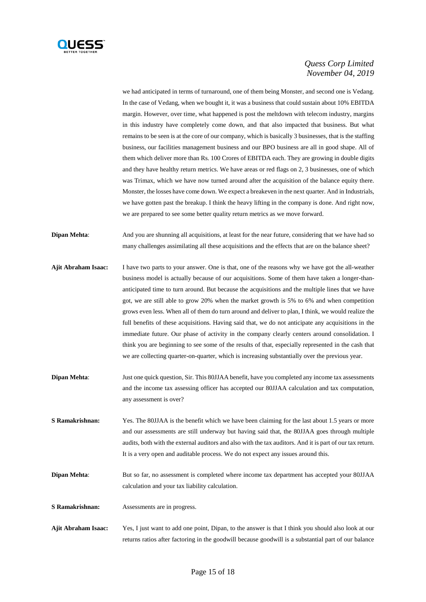

we had anticipated in terms of turnaround, one of them being Monster, and second one is Vedang. In the case of Vedang, when we bought it, it was a business that could sustain about 10% EBITDA margin. However, over time, what happened is post the meltdown with telecom industry, margins in this industry have completely come down, and that also impacted that business. But what remains to be seen is at the core of our company, which is basically 3 businesses, that is the staffing business, our facilities management business and our BPO business are all in good shape. All of them which deliver more than Rs. 100 Crores of EBITDA each. They are growing in double digits and they have healthy return metrics. We have areas or red flags on 2, 3 businesses, one of which was Trimax, which we have now turned around after the acquisition of the balance equity there. Monster, the losses have come down. We expect a breakeven in the next quarter. And in Industrials, we have gotten past the breakup. I think the heavy lifting in the company is done. And right now, we are prepared to see some better quality return metrics as we move forward.

**Dipan Mehta**: And you are shunning all acquisitions, at least for the near future, considering that we have had so many challenges assimilating all these acquisitions and the effects that are on the balance sheet?

- **Ajit Abraham Isaac:** I have two parts to your answer. One is that, one of the reasons why we have got the all-weather business model is actually because of our acquisitions. Some of them have taken a longer-thananticipated time to turn around. But because the acquisitions and the multiple lines that we have got, we are still able to grow 20% when the market growth is 5% to 6% and when competition grows even less. When all of them do turn around and deliver to plan, I think, we would realize the full benefits of these acquisitions. Having said that, we do not anticipate any acquisitions in the immediate future. Our phase of activity in the company clearly centers around consolidation. I think you are beginning to see some of the results of that, especially represented in the cash that we are collecting quarter-on-quarter, which is increasing substantially over the previous year.
- **Dipan Mehta:** Just one quick question, Sir. This 80JJAA benefit, have you completed any income tax assessments and the income tax assessing officer has accepted our 80JJAA calculation and tax computation, any assessment is over?
- **S Ramakrishnan:** Yes. The 80JJAA is the benefit which we have been claiming for the last about 1.5 years or more and our assessments are still underway but having said that, the 80JJAA goes through multiple audits, both with the external auditors and also with the tax auditors. And it is part of our tax return. It is a very open and auditable process. We do not expect any issues around this.
- **Dipan Mehta**: But so far, no assessment is completed where income tax department has accepted your 80JJAA calculation and your tax liability calculation.

**S Ramakrishnan:** Assessments are in progress.

**Ajit Abraham Isaac:** Yes, I just want to add one point, Dipan, to the answer is that I think you should also look at our returns ratios after factoring in the goodwill because goodwill is a substantial part of our balance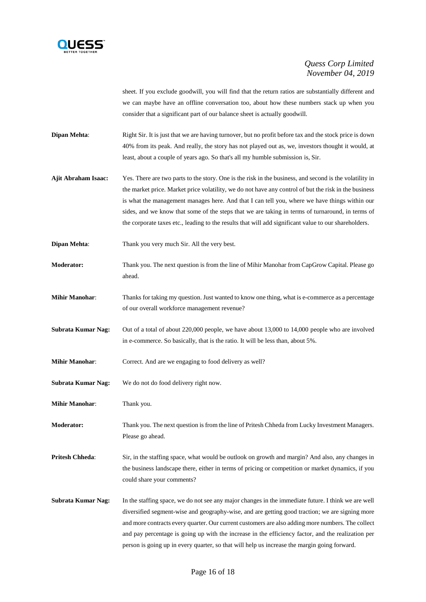

sheet. If you exclude goodwill, you will find that the return ratios are substantially different and we can maybe have an offline conversation too, about how these numbers stack up when you consider that a significant part of our balance sheet is actually goodwill.

**Dipan Mehta:** Right Sir. It is just that we are having turnover, but no profit before tax and the stock price is down 40% from its peak. And really, the story has not played out as, we, investors thought it would, at least, about a couple of years ago. So that's all my humble submission is, Sir.

- **Ajit Abraham Isaac:** Yes. There are two parts to the story. One is the risk in the business, and second is the volatility in the market price. Market price volatility, we do not have any control of but the risk in the business is what the management manages here. And that I can tell you, where we have things within our sides, and we know that some of the steps that we are taking in terms of turnaround, in terms of the corporate taxes etc., leading to the results that will add significant value to our shareholders.
- **Dipan Mehta:** Thank you very much Sir. All the very best.
- **Moderator:** Thank you. The next question is from the line of Mihir Manohar from CapGrow Capital. Please go ahead.
- **Mihir Manohar:** Thanks for taking my question. Just wanted to know one thing, what is e-commerce as a percentage of our overall workforce management revenue?
- **Subrata Kumar Nag:** Out of a total of about 220,000 people, we have about 13,000 to 14,000 people who are involved in e-commerce. So basically, that is the ratio. It will be less than, about 5%.
- **Mihir Manohar:** Correct. And are we engaging to food delivery as well?
- **Subrata Kumar Nag:** We do not do food delivery right now.

**Mihir Manohar**: Thank you.

**Moderator:** Thank you. The next question is from the line of Pritesh Chheda from Lucky Investment Managers. Please go ahead.

**Pritesh Chheda:** Sir, in the staffing space, what would be outlook on growth and margin? And also, any changes in the business landscape there, either in terms of pricing or competition or market dynamics, if you could share your comments?

**Subrata Kumar Nag:** In the staffing space, we do not see any major changes in the immediate future. I think we are well diversified segment-wise and geography-wise, and are getting good traction; we are signing more and more contracts every quarter. Our current customers are also adding more numbers. The collect and pay percentage is going up with the increase in the efficiency factor, and the realization per person is going up in every quarter, so that will help us increase the margin going forward.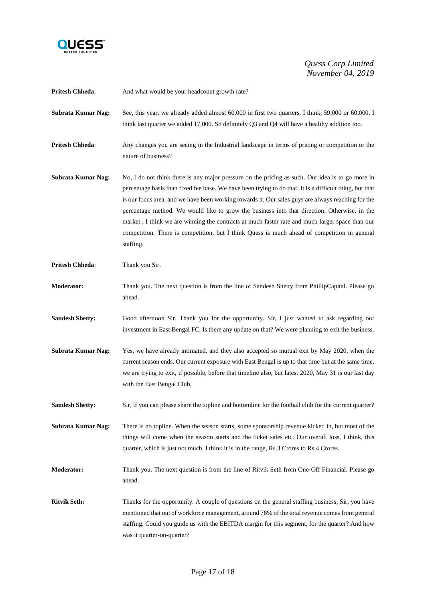

| <b>Pritesh Chheda:</b>    | And what would be your headcount growth rate?                                                                                                                                                                                                                                                                                                                                                                                                                                                                                                                                                                                     |
|---------------------------|-----------------------------------------------------------------------------------------------------------------------------------------------------------------------------------------------------------------------------------------------------------------------------------------------------------------------------------------------------------------------------------------------------------------------------------------------------------------------------------------------------------------------------------------------------------------------------------------------------------------------------------|
| <b>Subrata Kumar Nag:</b> | See, this year, we already added almost 60,000 in first two quarters, I think, 59,000 or 60,000. I<br>think last quarter we added 17,000. So definitely $Q3$ and $Q4$ will have a healthy addition too.                                                                                                                                                                                                                                                                                                                                                                                                                           |
| <b>Pritesh Chheda:</b>    | Any changes you are seeing in the Industrial landscape in terms of pricing or competition or the<br>nature of business?                                                                                                                                                                                                                                                                                                                                                                                                                                                                                                           |
| <b>Subrata Kumar Nag:</b> | No, I do not think there is any major pressure on the pricing as such. Our idea is to go more in<br>percentage basis than fixed fee base. We have been trying to do that. It is a difficult thing, but that<br>is our focus area, and we have been working towards it. Our sales guys are always reaching for the<br>percentage method. We would like to grow the business into that direction. Otherwise, in the<br>market, I think we are winning the contracts at much faster rate and much larger space than our<br>competition. There is competition, but I think Quess is much ahead of competition in general<br>staffing. |
| <b>Pritesh Chheda:</b>    | Thank you Sir.                                                                                                                                                                                                                                                                                                                                                                                                                                                                                                                                                                                                                    |
| <b>Moderator:</b>         | Thank you. The next question is from the line of Sandesh Shetty from PhillipCapital. Please go<br>ahead.                                                                                                                                                                                                                                                                                                                                                                                                                                                                                                                          |
| <b>Sandesh Shetty:</b>    | Good afternoon Sir. Thank you for the opportunity. Sir, I just wanted to ask regarding our<br>investment in East Bengal FC. Is there any update on that? We were planning to exit the business.                                                                                                                                                                                                                                                                                                                                                                                                                                   |
| <b>Subrata Kumar Nag:</b> | Yes, we have already intimated, and they also accepted so mutual exit by May 2020, when the<br>current season ends. Our current exposure with East Bengal is up to that time but at the same time,<br>we are trying to exit, if possible, before that timeline also, but latest 2020, May 31 is our last day<br>with the East Bengal Club.                                                                                                                                                                                                                                                                                        |
| <b>Sandesh Shetty:</b>    | Sir, if you can please share the topline and bottomline for the football club for the current quarter?                                                                                                                                                                                                                                                                                                                                                                                                                                                                                                                            |
| Subrata Kumar Nag:        | There is no topline. When the season starts, some sponsorship revenue kicked in, but most of the<br>things will come when the season starts and the ticket sales etc. Our overall loss, I think, this<br>quarter, which is just not much. I think it is in the range, Rs.3 Crores to Rs.4 Crores.                                                                                                                                                                                                                                                                                                                                 |
| <b>Moderator:</b>         | Thank you. The next question is from the line of Ritvik Seth from One-Off Financial. Please go<br>ahead.                                                                                                                                                                                                                                                                                                                                                                                                                                                                                                                          |
| <b>Ritvik Seth:</b>       | Thanks for the opportunity. A couple of questions on the general staffing business, Sir, you have<br>mentioned that out of workforce management, around 78% of the total revenue comes from general<br>staffing. Could you guide us with the EBITDA margin for this segment, for the quarter? And how<br>was it quarter-on-quarter?                                                                                                                                                                                                                                                                                               |